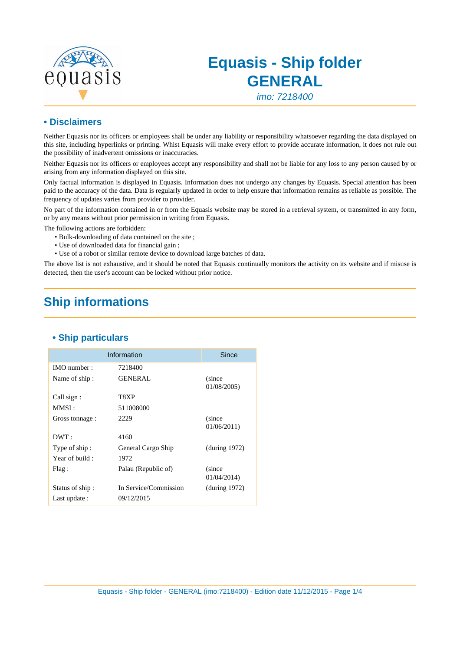

# **Equasis - Ship folder GENERAL**

imo: 7218400

#### **• Disclaimers**

Neither Equasis nor its officers or employees shall be under any liability or responsibility whatsoever regarding the data displayed on this site, including hyperlinks or printing. Whist Equasis will make every effort to provide accurate information, it does not rule out the possibility of inadvertent omissions or inaccuracies.

Neither Equasis nor its officers or employees accept any responsibility and shall not be liable for any loss to any person caused by or arising from any information displayed on this site.

Only factual information is displayed in Equasis. Information does not undergo any changes by Equasis. Special attention has been paid to the accuracy of the data. Data is regularly updated in order to help ensure that information remains as reliable as possible. The frequency of updates varies from provider to provider.

No part of the information contained in or from the Equasis website may be stored in a retrieval system, or transmitted in any form, or by any means without prior permission in writing from Equasis.

The following actions are forbidden:

- Bulk-downloading of data contained on the site ;
- Use of downloaded data for financial gain ;
- Use of a robot or similar remote device to download large batches of data.

The above list is not exhaustive, and it should be noted that Equasis continually monitors the activity on its website and if misuse is detected, then the user's account can be locked without prior notice.

## **Ship informations**

|                 | Information           | Since                 |
|-----------------|-----------------------|-----------------------|
| IMO number:     | 7218400               |                       |
| Name of ship:   | <b>GENERAL</b>        | (since<br>01/08/2005  |
| Call sign:      | T8XP                  |                       |
| MMSI :          | 511008000             |                       |
| Gross tonnage : | 2229                  | (since<br>01/06/2011  |
| DWT:            | 4160                  |                       |
| Type of ship:   | General Cargo Ship    | (during 1972)         |
| Year of build:  | 1972                  |                       |
| Flag:           | Palau (Republic of)   | (since)<br>01/04/2014 |
| Status of ship: | In Service/Commission | (during 1972)         |
| Last update :   | 09/12/2015            |                       |

#### **• Ship particulars**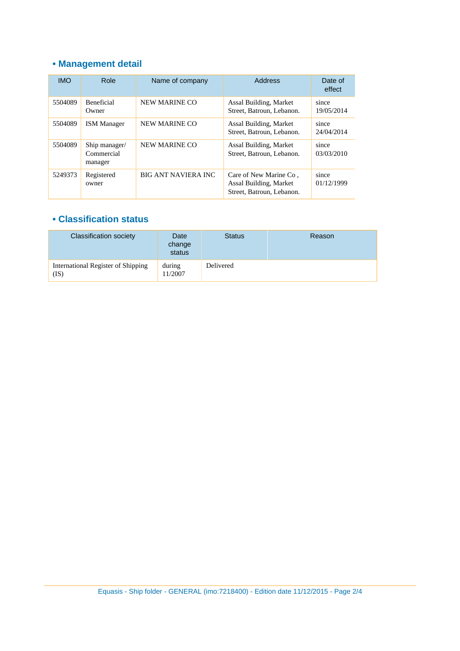## **• Management detail**

| <b>IMO</b> | Role                                   | Name of company            | Address                                                                       | Date of<br>effect   |
|------------|----------------------------------------|----------------------------|-------------------------------------------------------------------------------|---------------------|
| 5504089    | <b>Beneficial</b><br>Owner             | NEW MARINE CO              | Assal Building, Market<br>Street, Batroun, Lebanon.                           | since<br>19/05/2014 |
| 5504089    | <b>ISM Manager</b>                     | NEW MARINE CO              | Assal Building, Market<br>Street, Batroun, Lebanon.                           | since<br>24/04/2014 |
| 5504089    | Ship manager/<br>Commercial<br>manager | NEW MARINE CO              | Assal Building, Market<br>Street, Batroun, Lebanon.                           | since<br>03/03/2010 |
| 5249373    | Registered<br>owner                    | <b>BIG ANT NAVIERA INC</b> | Care of New Marine Co.<br>Assal Building, Market<br>Street, Batroun, Lebanon. | since<br>01/12/1999 |

#### **• Classification status**

| <b>Classification society</b>              | Date<br>change<br>status | <b>Status</b> | Reason |
|--------------------------------------------|--------------------------|---------------|--------|
| International Register of Shipping<br>(IS) | during<br>11/2007        | Delivered     |        |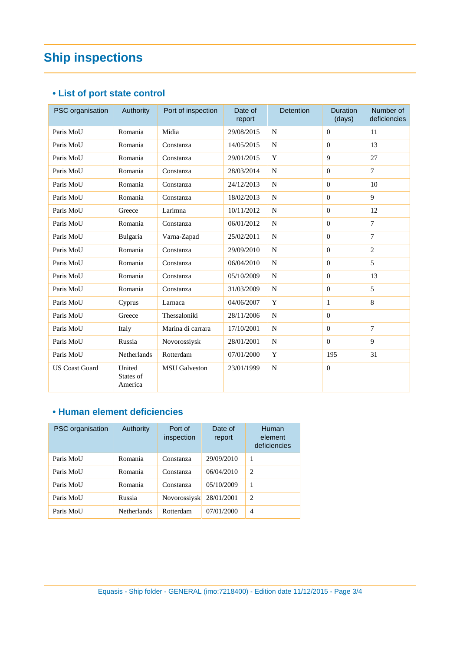# **Ship inspections**

### **• List of port state control**

| PSC organisation      | Authority                      | Port of inspection   | Date of<br>report | <b>Detention</b> | <b>Duration</b><br>(days) | Number of<br>deficiencies |
|-----------------------|--------------------------------|----------------------|-------------------|------------------|---------------------------|---------------------------|
| Paris MoU             | Romania                        | Midia                | 29/08/2015        | $\mathbf N$      | $\Omega$                  | 11                        |
| Paris MoU             | Romania                        | Constanza            | 14/05/2015        | N                | $\Omega$                  | 13                        |
| Paris MoU             | Romania                        | Constanza            | 29/01/2015        | Y                | $\mathbf{Q}$              | 27                        |
| Paris MoU             | Romania                        | Constanza            | 28/03/2014        | N                | $\Omega$                  | $\tau$                    |
| Paris MoU             | Romania                        | Constanza            | 24/12/2013        | $\mathbf N$      | $\Omega$                  | 10                        |
| Paris MoU             | Romania                        | Constanza            | 18/02/2013        | N                | $\Omega$                  | 9                         |
| Paris MoU             | Greece                         | Larimna              | 10/11/2012        | N                | $\Omega$                  | 12                        |
| Paris MoU             | Romania                        | Constanza            | 06/01/2012        | N                | $\Omega$                  | 7                         |
| Paris MoU             | Bulgaria                       | Varna-Zapad          | 25/02/2011        | $\mathbf N$      | $\mathbf{0}$              | $\overline{7}$            |
| Paris MoU             | Romania                        | Constanza            | 29/09/2010        | N                | $\Omega$                  | $\overline{2}$            |
| Paris MoU             | Romania                        | Constanza            | 06/04/2010        | N                | $\Omega$                  | 5                         |
| Paris MoU             | Romania                        | Constanza            | 05/10/2009        | $\mathbf N$      | $\Omega$                  | 13                        |
| Paris MoU             | Romania                        | Constanza            | 31/03/2009        | N                | $\Omega$                  | 5                         |
| Paris MoU             | Cyprus                         | Larnaca              | 04/06/2007        | Y                | $\mathbf{1}$              | 8                         |
| Paris MoU             | Greece                         | Thessaloniki         | 28/11/2006        | N                | $\Omega$                  |                           |
| Paris MoU             | Italy                          | Marina di carrara    | 17/10/2001        | $\mathbf N$      | $\Omega$                  | $\tau$                    |
| Paris MoU             | Russia                         | Novorossiysk         | 28/01/2001        | $\mathbf N$      | $\Omega$                  | 9                         |
| Paris MoU             | Netherlands                    | Rotterdam            | 07/01/2000        | Y                | 195                       | 31                        |
| <b>US Coast Guard</b> | United<br>States of<br>America | <b>MSU</b> Galveston | 23/01/1999        | $\mathbf N$      | $\overline{0}$            |                           |

#### **• Human element deficiencies**

| PSC organisation | Authority          | Port of<br>inspection | Date of<br>report | <b>Human</b><br>element<br>deficiencies |
|------------------|--------------------|-----------------------|-------------------|-----------------------------------------|
| Paris MoU        | Romania            | Constanza             | 29/09/2010        | 1                                       |
| Paris MoU        | Romania            | Constanza             | 06/04/2010        | 2                                       |
| Paris MoU        | Romania            | Constanza             | 05/10/2009        | 1                                       |
| Paris MoU        | Russia             | <b>Novorossiysk</b>   | 28/01/2001        | 2                                       |
| Paris MoU        | <b>Netherlands</b> | Rotterdam             | 07/01/2000        | $\overline{4}$                          |